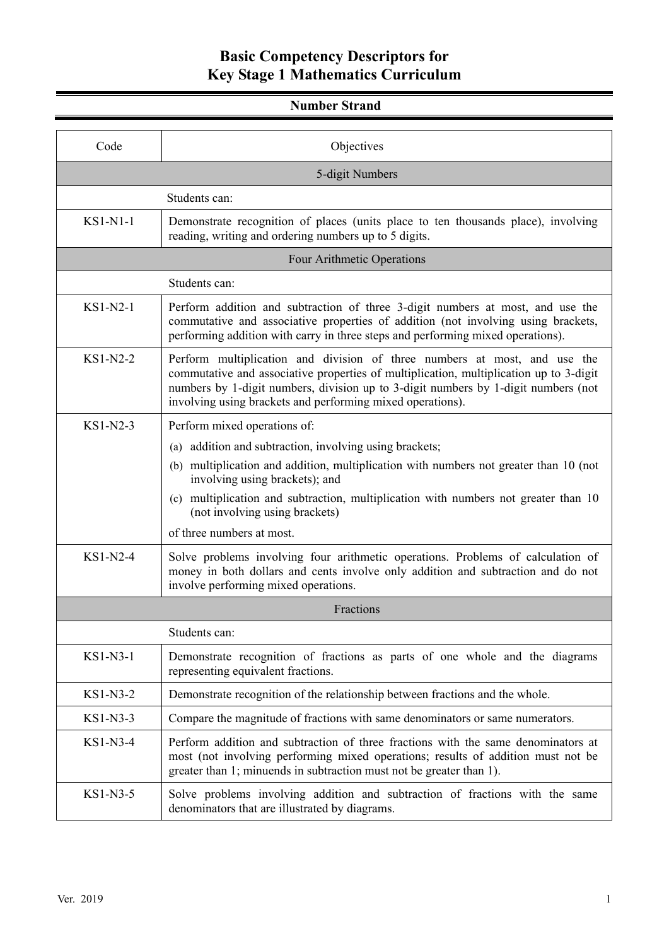#### **Number Strand**

| Code                       | Objectives                                                                                                                                                                                                                                                                                                                                                                  |  |
|----------------------------|-----------------------------------------------------------------------------------------------------------------------------------------------------------------------------------------------------------------------------------------------------------------------------------------------------------------------------------------------------------------------------|--|
| 5-digit Numbers            |                                                                                                                                                                                                                                                                                                                                                                             |  |
|                            | Students can:                                                                                                                                                                                                                                                                                                                                                               |  |
| $KSI-N1-1$                 | Demonstrate recognition of places (units place to ten thousands place), involving<br>reading, writing and ordering numbers up to 5 digits.                                                                                                                                                                                                                                  |  |
| Four Arithmetic Operations |                                                                                                                                                                                                                                                                                                                                                                             |  |
|                            | Students can:                                                                                                                                                                                                                                                                                                                                                               |  |
| $KSI-N2-1$                 | Perform addition and subtraction of three 3-digit numbers at most, and use the<br>commutative and associative properties of addition (not involving using brackets,<br>performing addition with carry in three steps and performing mixed operations).                                                                                                                      |  |
| $KS1-N2-2$                 | Perform multiplication and division of three numbers at most, and use the<br>commutative and associative properties of multiplication, multiplication up to 3-digit<br>numbers by 1-digit numbers, division up to 3-digit numbers by 1-digit numbers (not<br>involving using brackets and performing mixed operations).                                                     |  |
| KS1-N2-3                   | Perform mixed operations of:<br>(a) addition and subtraction, involving using brackets;<br>multiplication and addition, multiplication with numbers not greater than 10 (not<br>(b)<br>involving using brackets); and<br>(c) multiplication and subtraction, multiplication with numbers not greater than 10<br>(not involving using brackets)<br>of three numbers at most. |  |
| KS1-N2-4                   | Solve problems involving four arithmetic operations. Problems of calculation of<br>money in both dollars and cents involve only addition and subtraction and do not<br>involve performing mixed operations.                                                                                                                                                                 |  |
|                            | Fractions                                                                                                                                                                                                                                                                                                                                                                   |  |
|                            | Students can:                                                                                                                                                                                                                                                                                                                                                               |  |
| KS1-N3-1                   | Demonstrate recognition of fractions as parts of one whole and the diagrams<br>representing equivalent fractions.                                                                                                                                                                                                                                                           |  |
| KS1-N3-2                   | Demonstrate recognition of the relationship between fractions and the whole.                                                                                                                                                                                                                                                                                                |  |
| KS1-N3-3                   | Compare the magnitude of fractions with same denominators or same numerators.                                                                                                                                                                                                                                                                                               |  |
| KS1-N3-4                   | Perform addition and subtraction of three fractions with the same denominators at<br>most (not involving performing mixed operations; results of addition must not be<br>greater than 1; minuends in subtraction must not be greater than 1).                                                                                                                               |  |
| KS1-N3-5                   | Solve problems involving addition and subtraction of fractions with the same<br>denominators that are illustrated by diagrams.                                                                                                                                                                                                                                              |  |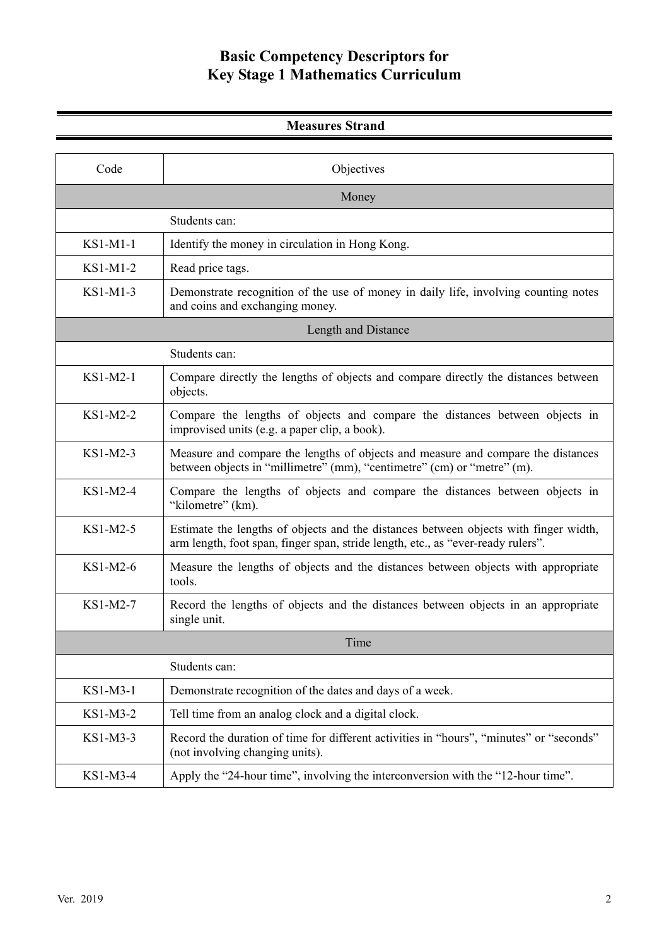| <b>Measures Strand</b> |                                                                                                                                                                          |  |
|------------------------|--------------------------------------------------------------------------------------------------------------------------------------------------------------------------|--|
| Code                   | Objectives                                                                                                                                                               |  |
|                        | Money                                                                                                                                                                    |  |
|                        |                                                                                                                                                                          |  |
|                        | Students can:                                                                                                                                                            |  |
| KS1-M1-1               | Identify the money in circulation in Hong Kong.                                                                                                                          |  |
| KS1-M1-2               | Read price tags.                                                                                                                                                         |  |
| KS1-M1-3               | Demonstrate recognition of the use of money in daily life, involving counting notes<br>and coins and exchanging money.                                                   |  |
|                        | Length and Distance                                                                                                                                                      |  |
|                        | Students can:                                                                                                                                                            |  |
| KS1-M2-1               | Compare directly the lengths of objects and compare directly the distances between<br>objects.                                                                           |  |
| KS1-M2-2               | Compare the lengths of objects and compare the distances between objects in<br>improvised units (e.g. a paper clip, a book).                                             |  |
| $KS1-M2-3$             | Measure and compare the lengths of objects and measure and compare the distances<br>between objects in "millimetre" (mm), "centimetre" (cm) or "metre" (m).              |  |
| $KS1-M2-4$             | Compare the lengths of objects and compare the distances between objects in<br>"kilometre" (km).                                                                         |  |
| $KS1-M2-5$             | Estimate the lengths of objects and the distances between objects with finger width,<br>arm length, foot span, finger span, stride length, etc., as "ever-ready rulers". |  |
| $KS1-M2-6$             | Measure the lengths of objects and the distances between objects with appropriate<br>tools.                                                                              |  |
| KS1-M2-7               | Record the lengths of objects and the distances between objects in an appropriate<br>single unit.                                                                        |  |
|                        | Time                                                                                                                                                                     |  |
|                        | Students can:                                                                                                                                                            |  |
| KS1-M3-1               | Demonstrate recognition of the dates and days of a week.                                                                                                                 |  |
| KS1-M3-2               | Tell time from an analog clock and a digital clock.                                                                                                                      |  |
| KS1-M3-3               | Record the duration of time for different activities in "hours", "minutes" or "seconds"<br>(not involving changing units).                                               |  |
| KS1-M3-4               | Apply the "24-hour time", involving the interconversion with the "12-hour time".                                                                                         |  |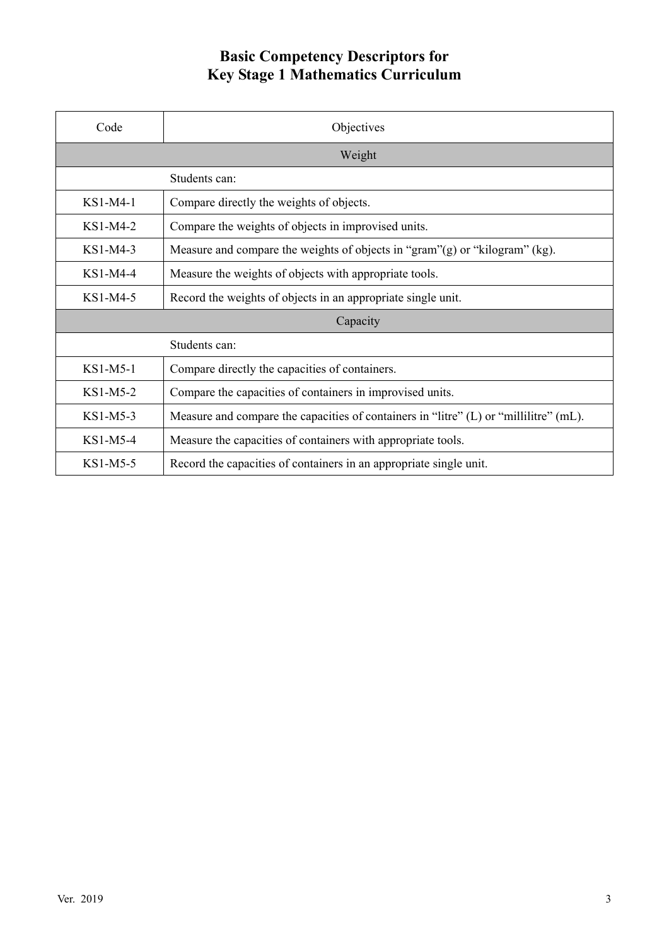| Code       | Objectives                                                                            |  |
|------------|---------------------------------------------------------------------------------------|--|
|            | Weight                                                                                |  |
|            | Students can:                                                                         |  |
| KS1-M4-1   | Compare directly the weights of objects.                                              |  |
| $KS1-M4-2$ | Compare the weights of objects in improvised units.                                   |  |
| $KS1-M4-3$ | Measure and compare the weights of objects in "gram" $(g)$ or "kilogram" $(kg)$ .     |  |
| $KS1-M4-4$ | Measure the weights of objects with appropriate tools.                                |  |
| KS1-M4-5   | Record the weights of objects in an appropriate single unit.                          |  |
| Capacity   |                                                                                       |  |
|            | Students can:                                                                         |  |
| $KS1-M5-1$ | Compare directly the capacities of containers.                                        |  |
| $KS1-M5-2$ | Compare the capacities of containers in improvised units.                             |  |
| KS1-M5-3   | Measure and compare the capacities of containers in "litre" (L) or "millilitre" (mL). |  |
| $KS1-M5-4$ | Measure the capacities of containers with appropriate tools.                          |  |
| KS1-M5-5   | Record the capacities of containers in an appropriate single unit.                    |  |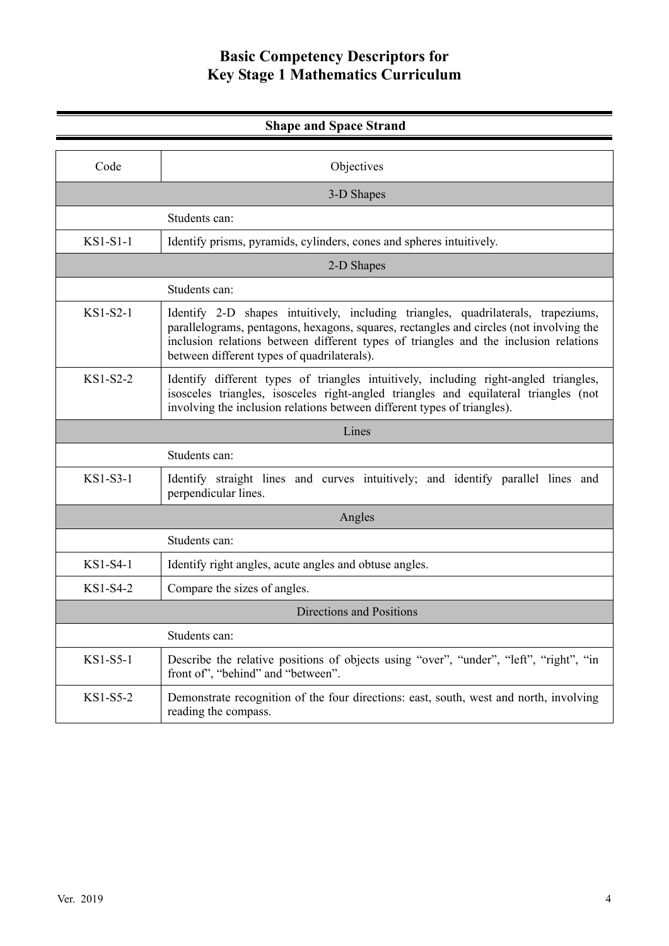| <b>Shape and Space Strand</b> |                                                                                                                                                                                                                                                                                                                     |  |
|-------------------------------|---------------------------------------------------------------------------------------------------------------------------------------------------------------------------------------------------------------------------------------------------------------------------------------------------------------------|--|
|                               |                                                                                                                                                                                                                                                                                                                     |  |
| Code                          | Objectives                                                                                                                                                                                                                                                                                                          |  |
| 3-D Shapes                    |                                                                                                                                                                                                                                                                                                                     |  |
|                               | Students can:                                                                                                                                                                                                                                                                                                       |  |
| $KSI-S1-1$                    | Identify prisms, pyramids, cylinders, cones and spheres intuitively.                                                                                                                                                                                                                                                |  |
|                               | 2-D Shapes                                                                                                                                                                                                                                                                                                          |  |
|                               | Students can:                                                                                                                                                                                                                                                                                                       |  |
| $KS1-S2-1$                    | Identify 2-D shapes intuitively, including triangles, quadrilaterals, trapeziums,<br>parallelograms, pentagons, hexagons, squares, rectangles and circles (not involving the<br>inclusion relations between different types of triangles and the inclusion relations<br>between different types of quadrilaterals). |  |
| $KS1-S2-2$                    | Identify different types of triangles intuitively, including right-angled triangles,<br>isosceles triangles, isosceles right-angled triangles and equilateral triangles (not<br>involving the inclusion relations between different types of triangles).                                                            |  |
|                               | Lines                                                                                                                                                                                                                                                                                                               |  |
|                               | Students can:                                                                                                                                                                                                                                                                                                       |  |
| KS1-S3-1                      | Identify straight lines and curves intuitively; and identify parallel lines and<br>perpendicular lines.                                                                                                                                                                                                             |  |
|                               | Angles                                                                                                                                                                                                                                                                                                              |  |
|                               | Students can:                                                                                                                                                                                                                                                                                                       |  |
| KS1-S4-1                      | Identify right angles, acute angles and obtuse angles.                                                                                                                                                                                                                                                              |  |
| $KS1-S4-2$                    | Compare the sizes of angles.                                                                                                                                                                                                                                                                                        |  |
| Directions and Positions      |                                                                                                                                                                                                                                                                                                                     |  |
|                               | Students can:                                                                                                                                                                                                                                                                                                       |  |
| KS1-S5-1                      | Describe the relative positions of objects using "over", "under", "left", "right", "in<br>front of", "behind" and "between".                                                                                                                                                                                        |  |
| $KS1-S5-2$                    | Demonstrate recognition of the four directions: east, south, west and north, involving<br>reading the compass.                                                                                                                                                                                                      |  |